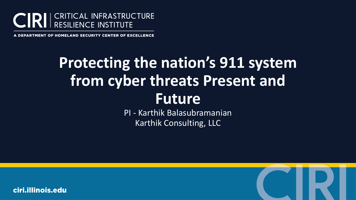

. DEPARTMENT OF HOMELAND SECURITY CENTER OF EXCELLENCE

# **Protecting the nation's 911 system from cyber threats Present and Future**

PI - Karthik Balasubramanian Karthik Consulting, LLC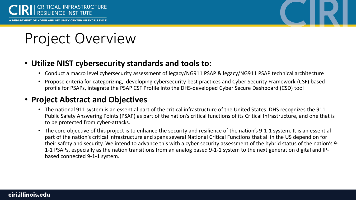



# Project Overview

### • **Utilize NIST cybersecurity standards and tools to:**

- Conduct a macro level cybersecurity assessment of legacy/NG911 PSAP & legacy/NG911 PSAP technical architecture
- Propose criteria for categorizing, developing cybersecurity best practices and Cyber Security Framework (CSF) based profile for PSAPs, integrate the PSAP CSF Profile into the DHS-developed Cyber Secure Dashboard (CSD) tool

### • **Project Abstract and Objectives**

- The national 911 system is an essential part of the critical infrastructure of the United States. DHS recognizes the 911 Public Safety Answering Points (PSAP) as part of the nation's critical functions of its Critical Infrastructure, and one that is to be protected from cyber-attacks.
- The core objective of this project is to enhance the security and resilience of the nation's 9-1-1 system. It is an essential part of the nation's critical infrastructure and spans several National Critical Functions that all in the US depend on for their safety and security. We intend to advance this with a cyber security assessment of the hybrid status of the nation's 9- 1-1 PSAPs, especially as the nation transitions from an analog based 9-1-1 system to the next generation digital and IPbased connected 9-1-1 system.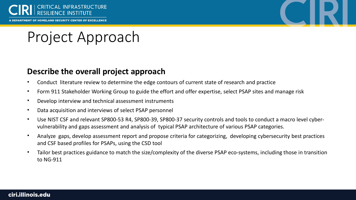



## Project Approach

### **Describe the overall project approach**

- Conduct literature review to determine the edge contours of current state of research and practice
- Form 911 Stakeholder Working Group to guide the effort and offer expertise, select PSAP sites and manage risk
- Develop interview and technical assessment instruments
- Data acquisition and interviews of select PSAP personnel
- Use NIST CSF and relevant SP800-53 R4, SP800-39, SP800-37 security controls and tools to conduct a macro level cybervulnerability and gaps assessment and analysis of typical PSAP architecture of various PSAP categories.
- Analyze gaps, develop assessment report and propose criteria for categorizing, developing cybersecurity best practices and CSF based profiles for PSAPs, using the CSD tool
- Tailor best practices guidance to match the size/complexity of the diverse PSAP eco-systems, including those in transition to NG-911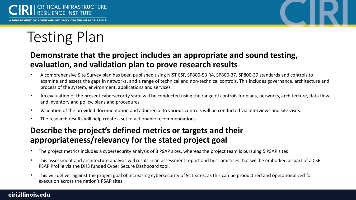



# Testing Plan

## **Demonstrate that the project includes an appropriate and sound testing, evaluation, and validation plan to prove research results**

- A comprehensive Site Survey plan has been published using NIST CSF, SP800-53 R4, SP800-37, SP800-39 standards and controls to examine and assess the gaps in networks, and a range of technical and non-technical controls. This includes governance, architecture and process of the system, environment, applications and services
- An evaluation of the present cybersecurity state will be conducted using the range of controls for plans, networks, architecture, data flow and inventory and policy, plans and procedures
- Validation of the provided documentation and adherence to various controls will be conducted via interviews and site visits.
- The research results will help create a set of actionable recommendations

## **Describe the project's defined metrics or targets and their appropriateness/relevancy for the stated project goal**

- The project metrics includes a cybersecurity analysis of 3 PSAP sites, whereas the project team is pursuing 5 PSAP sites
- This assessment and architecture analysis will result in an assessment report and best practices that will be embodied as part of a CSF PSAP Profile via the DHS funded Cyber Secure Dashboard tool.
- This will deliver against the project goal of increasing cybersecurity of 911 sites, as this can be productized and operationalized for execution across the nation's PSAP sites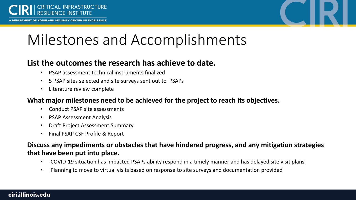

RTMENT OF HOMELAND SECURITY CENTER OF EXCELLENCE



# Milestones and Accomplishments

### **List the outcomes the research has achieve to date.**

- PSAP assessment technical instruments finalized
- 5 PSAP sites selected and site surveys sent out to PSAPs
- Literature review complete

### **What major milestones need to be achieved for the project to reach its objectives.**

- Conduct PSAP site assessments
- PSAP Assessment Analysis
- Draft Project Assessment Summary
- Final PSAP CSF Profile & Report

### **Discuss any impediments or obstacles that have hindered progress, and any mitigation strategies that have been put into place.**

- COVID-19 situation has impacted PSAPs ability respond in a timely manner and has delayed site visit plans
- Planning to move to virtual visits based on response to site surveys and documentation provided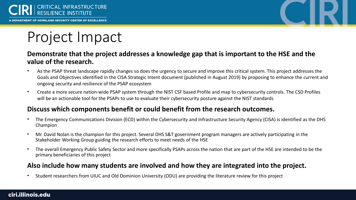



## Project Impact

#### **Demonstrate that the project addresses a knowledge gap that is important to the HSE and the value of the research.**

- As the PSAP threat landscape rapidly changes so does the urgency to secure and improve this critical system. This project addresses the Goals and Objectives identified in the CISA Strategic Intent document (published in August 2019) by proposing to enhance the current and ongoing security and resilience of the PSAP ecosystem
- Create a more secure nation-wide PSAP system through the NIST CSF based Profile and map to cybersecurity controls. The CSD Profiles will be an actionable tool for the PSAPs to use to evaluate their cybersecurity posture against the NIST standards

### **Discuss which components benefit or could benefit from the research outcomes.**

- The Emergency Communications Division (ECD) within the Cybersecurity and Infrastructure Security Agency (CISA) is identified as the DHS Champion
- Mr. David Nolan is the champion for this project. Several DHS S&T government program managers are actively participating in the Stakeholder Working Group guiding the research efforts to meet needs of the HSE
- The overall Emergency Public Safety Sector and more specifically PSAPs across the nation that are part of the HSE are intended to be the primary beneficiaries of this project

### **Also include how many students are involved and how they are integrated into the project.**

• Student researchers from UIUC and Old Dominion University (ODU) are providing the literature review for this project